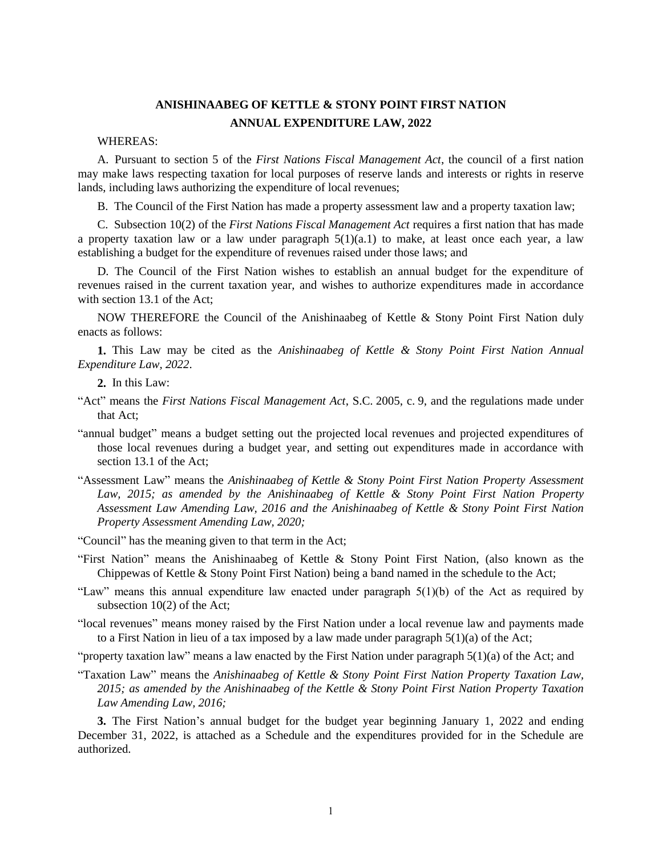### **ANISHINAABEG OF KETTLE & STONY POINT FIRST NATION ANNUAL EXPENDITURE LAW, 2022**

#### WHEREAS:

A. Pursuant to section 5 of the *First Nations Fiscal Management Act*, the council of a first nation may make laws respecting taxation for local purposes of reserve lands and interests or rights in reserve lands, including laws authorizing the expenditure of local revenues;

B. The Council of the First Nation has made a property assessment law and a property taxation law;

C. Subsection 10(2) of the *First Nations Fiscal Management Act* requires a first nation that has made a property taxation law or a law under paragraph  $5(1)(a,1)$  to make, at least once each year, a law establishing a budget for the expenditure of revenues raised under those laws; and

D. The Council of the First Nation wishes to establish an annual budget for the expenditure of revenues raised in the current taxation year, and wishes to authorize expenditures made in accordance with section 13.1 of the Act:

NOW THEREFORE the Council of the Anishinaabeg of Kettle & Stony Point First Nation duly enacts as follows:

**1.** This Law may be cited as the *Anishinaabeg of Kettle & Stony Point First Nation Annual Expenditure Law, 2022*.

**2.** In this Law:

- "Act" means the *First Nations Fiscal Management Act*, S.C. 2005, c. 9, and the regulations made under that Act;
- "annual budget" means a budget setting out the projected local revenues and projected expenditures of those local revenues during a budget year, and setting out expenditures made in accordance with section 13.1 of the Act;
- "Assessment Law" means the *Anishinaabeg of Kettle & Stony Point First Nation Property Assessment Law, 2015; as amended by the Anishinaabeg of Kettle & Stony Point First Nation Property Assessment Law Amending Law, 2016 and the Anishinaabeg of Kettle & Stony Point First Nation Property Assessment Amending Law, 2020;*
- "Council" has the meaning given to that term in the Act;
- "First Nation" means the Anishinaabeg of Kettle & Stony Point First Nation, (also known as the Chippewas of Kettle & Stony Point First Nation) being a band named in the schedule to the Act;
- "Law" means this annual expenditure law enacted under paragraph 5(1)(b) of the Act as required by subsection 10(2) of the Act;
- "local revenues" means money raised by the First Nation under a local revenue law and payments made to a First Nation in lieu of a tax imposed by a law made under paragraph  $5(1)(a)$  of the Act;

"property taxation law" means a law enacted by the First Nation under paragraph  $5(1)(a)$  of the Act; and

"Taxation Law" means the *Anishinaabeg of Kettle & Stony Point First Nation Property Taxation Law, 2015; as amended by the Anishinaabeg of the Kettle & Stony Point First Nation Property Taxation Law Amending Law, 2016;*

**3.** The First Nation's annual budget for the budget year beginning January 1, 2022 and ending December 31, 2022, is attached as a Schedule and the expenditures provided for in the Schedule are authorized.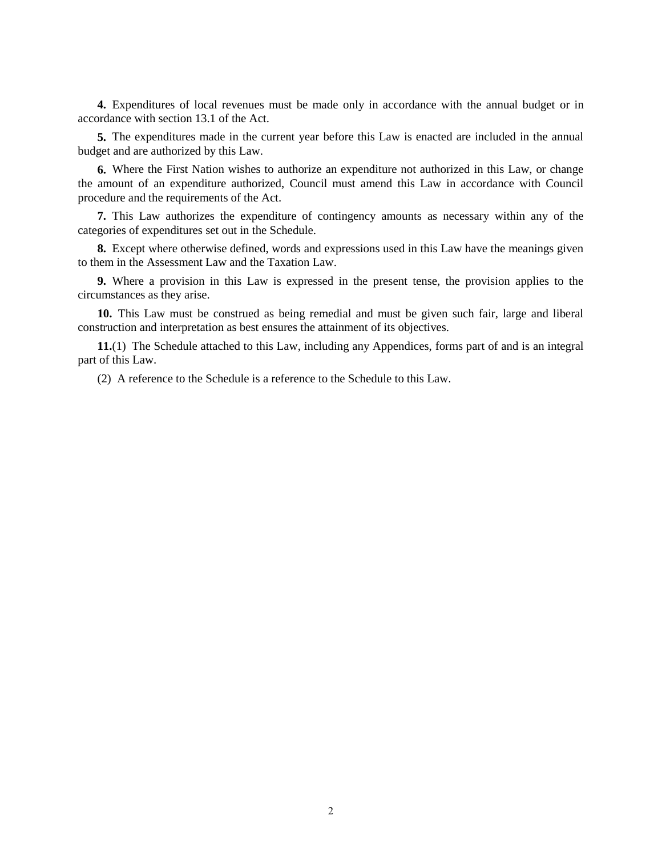**4.** Expenditures of local revenues must be made only in accordance with the annual budget or in accordance with section 13.1 of the Act.

**5.** The expenditures made in the current year before this Law is enacted are included in the annual budget and are authorized by this Law.

**6.** Where the First Nation wishes to authorize an expenditure not authorized in this Law, or change the amount of an expenditure authorized, Council must amend this Law in accordance with Council procedure and the requirements of the Act.

**7.** This Law authorizes the expenditure of contingency amounts as necessary within any of the categories of expenditures set out in the Schedule.

**8.** Except where otherwise defined, words and expressions used in this Law have the meanings given to them in the Assessment Law and the Taxation Law.

**9.** Where a provision in this Law is expressed in the present tense, the provision applies to the circumstances as they arise.

**10.** This Law must be construed as being remedial and must be given such fair, large and liberal construction and interpretation as best ensures the attainment of its objectives.

**11.**(1) The Schedule attached to this Law, including any Appendices, forms part of and is an integral part of this Law.

(2) A reference to the Schedule is a reference to the Schedule to this Law.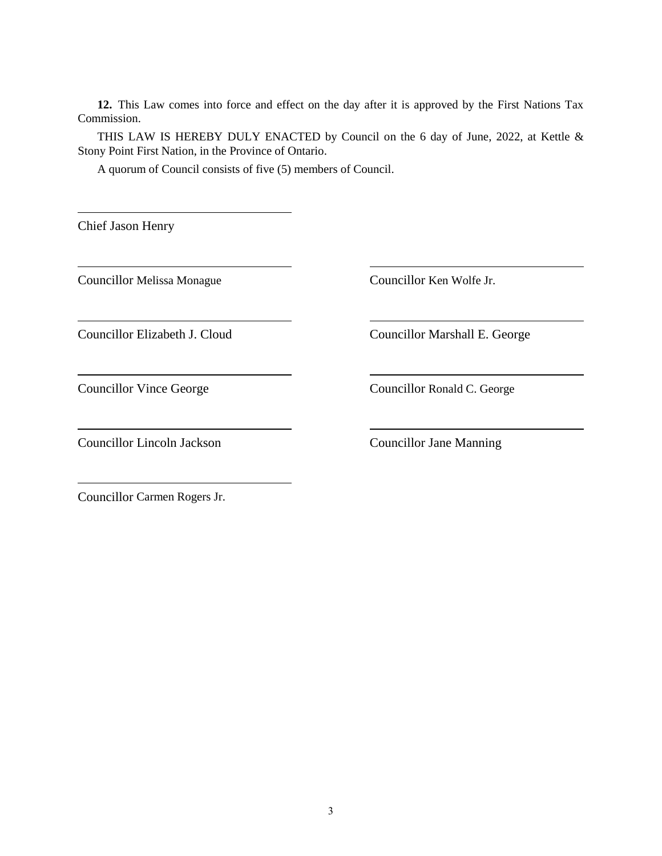**12.** This Law comes into force and effect on the day after it is approved by the First Nations Tax Commission.

THIS LAW IS HEREBY DULY ENACTED by Council on the 6 day of June, 2022, at Kettle & Stony Point First Nation, in the Province of Ontario.

A quorum of Council consists of five (5) members of Council.

Chief Jason Henry

Councillor Melissa Monague Councillor Ken Wolfe Jr.

Councillor Lincoln Jackson Councillor Jane Manning

Councillor Elizabeth J. Cloud Councillor Marshall E. George

Councillor Vince George Councillor Ronald C. George

Councillor Carmen Rogers Jr.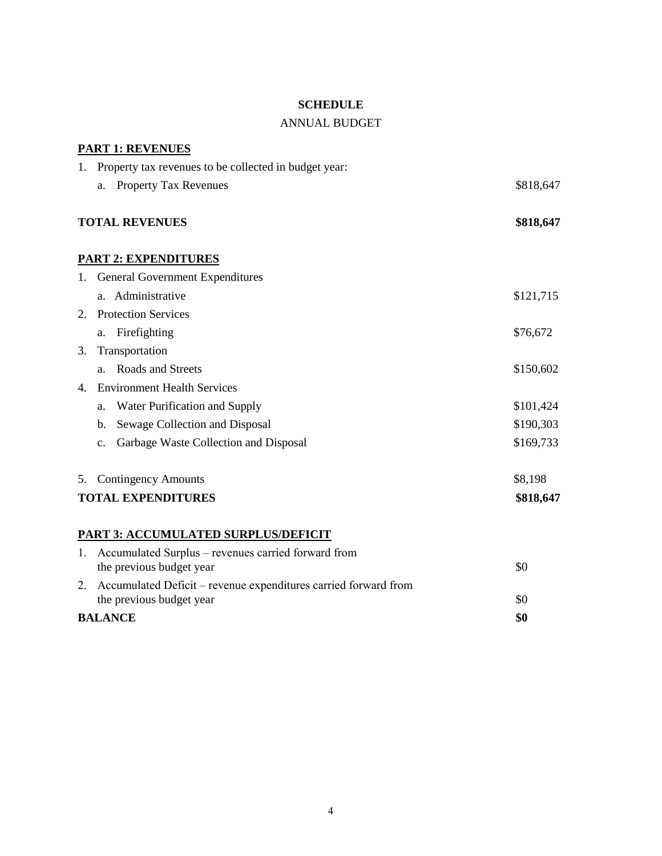#### **SCHEDULE**

#### ANNUAL BUDGET

|                           | <b>PART 1: REVENUES</b>                                         |           |
|---------------------------|-----------------------------------------------------------------|-----------|
| 1.                        | Property tax revenues to be collected in budget year:           |           |
|                           | <b>Property Tax Revenues</b><br>a.                              | \$818,647 |
|                           | <b>TOTAL REVENUES</b>                                           | \$818,647 |
|                           | <b>PART 2: EXPENDITURES</b>                                     |           |
|                           | 1. General Government Expenditures                              |           |
|                           | a. Administrative                                               | \$121,715 |
| 2.                        | <b>Protection Services</b>                                      |           |
|                           | Firefighting<br>a.                                              | \$76,672  |
| 3.                        | Transportation                                                  |           |
|                           | Roads and Streets<br>a.                                         | \$150,602 |
| 4.                        | <b>Environment Health Services</b>                              |           |
|                           | Water Purification and Supply<br>a.                             | \$101,424 |
|                           | Sewage Collection and Disposal<br>$\mathbf{b}$ .                | \$190,303 |
|                           | Garbage Waste Collection and Disposal<br>$\mathbf{c}$ .         | \$169,733 |
| 5.                        | <b>Contingency Amounts</b>                                      | \$8,198   |
| <b>TOTAL EXPENDITURES</b> |                                                                 | \$818,647 |
|                           | <b>PART 3: ACCUMULATED SURPLUS/DEFICIT</b>                      |           |
| 1.                        | Accumulated Surplus – revenues carried forward from             |           |
|                           | the previous budget year                                        | \$0       |
| 2.                        | Accumulated Deficit - revenue expenditures carried forward from | \$0       |
|                           | the previous budget year                                        |           |

# **BALANCE \$0**